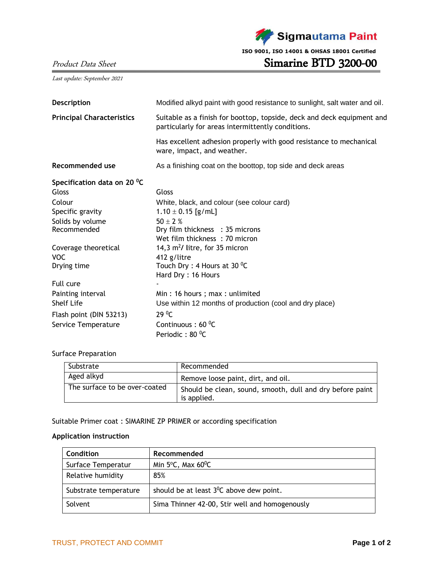

Last update: September 2021

| <b>Description</b>               | Modified alkyd paint with good resistance to sunlight, salt water and oil.                                                  |  |  |
|----------------------------------|-----------------------------------------------------------------------------------------------------------------------------|--|--|
| <b>Principal Characteristics</b> | Suitable as a finish for boottop, topside, deck and deck equipment and<br>particularly for areas intermittently conditions. |  |  |
|                                  | Has excellent adhesion properly with good resistance to mechanical<br>ware, impact, and weather.                            |  |  |
| Recommended use                  | As a finishing coat on the boottop, top side and deck areas                                                                 |  |  |
| Specification data on 20 °C      |                                                                                                                             |  |  |
| Gloss                            | Gloss                                                                                                                       |  |  |
| Colour                           | White, black, and colour (see colour card)                                                                                  |  |  |
| Specific gravity                 | $1.10 \pm 0.15$ [g/mL]                                                                                                      |  |  |
| Solids by volume                 | 50 $\pm$ 2 %                                                                                                                |  |  |
| Recommended                      | Dry film thickness : 35 microns                                                                                             |  |  |
|                                  | Wet film thickness: 70 micron                                                                                               |  |  |
| Coverage theoretical             | 14,3 m <sup>2</sup> / litre, for 35 micron                                                                                  |  |  |
| <b>VOC</b>                       | 412 g/litre                                                                                                                 |  |  |
| Drying time                      | Touch Dry : 4 Hours at 30 $^{\circ}$ C                                                                                      |  |  |
|                                  | Hard Dry: 16 Hours                                                                                                          |  |  |
| Full cure                        |                                                                                                                             |  |  |
| Painting interval                | Min: 16 hours; max: unlimited                                                                                               |  |  |
| <b>Shelf Life</b>                | Use within 12 months of production (cool and dry place)                                                                     |  |  |
| Flash point (DIN 53213)          | 29 <sup>0</sup> C                                                                                                           |  |  |
| Service Temperature              | Continuous: 60 °C                                                                                                           |  |  |
|                                  | Periodic: 80 °C                                                                                                             |  |  |

## Surface Preparation

| Substrate                     | Recommended                                                              |
|-------------------------------|--------------------------------------------------------------------------|
| Aged alkyd                    | Remove loose paint, dirt, and oil.                                       |
| The surface to be over-coated | Should be clean, sound, smooth, dull and dry before paint<br>is applied. |

Suitable Primer coat : SIMARINE ZP PRIMER or according specification

## **Application instruction**

| Condition             | Recommended                                          |
|-----------------------|------------------------------------------------------|
| Surface Temperatur    | Min $5^{\circ}$ C, Max 60 $^{\circ}$ C               |
| Relative humidity     | 85%                                                  |
| Substrate temperature | should be at least 3 <sup>0</sup> C above dew point. |
| Solvent               | Sima Thinner 42-00, Stir well and homogenously       |